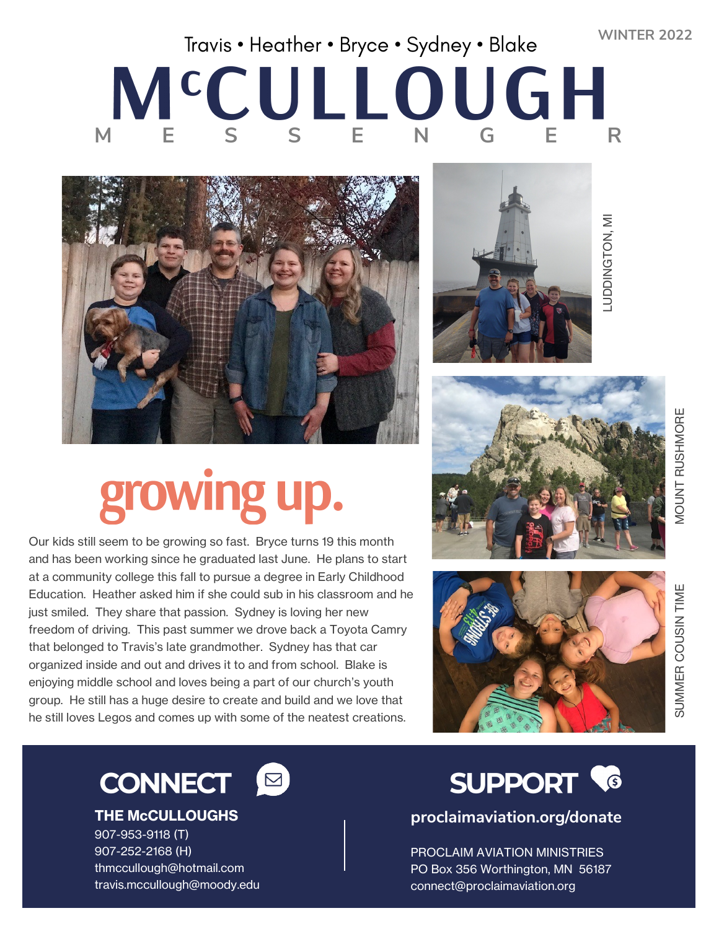**WINTER 2022**

## Travis • Heather • Bryce • Sydney • Blake MCCULLOUGH



# growing up.

Our kids still seem to be growing so fast. Bryce turns 19 this month and has been working since he graduated last June. He plans to start at a community college this fall to pursue a degree in Early Childhood Education. Heather asked him if she could sub in his classroom and he just smiled. They share that passion. Sydney is loving her new freedom of driving. This past summer we drove back a Toyota Camry that belonged to Travis's late grandmother. Sydney has that car organized inside and out and drives it to and from school. Blake is enjoying middle school and loves being a part of our church's youth group. He still has a huge desire to create and build and we love that he still loves Legos and comes up with some of the neatest creations.



.UDDINGTON, MI LUDDINGTON, MI







**THE McCULLOUGHS** 907-953-9118 (T) 907-252-2168 (H) thmccullough@hotmail.com travis.mccullough@moody.edu

#### **SUPPORT &**

**proclaimaviation.org/donate**

PROCLAIM AVIATION MINISTRIES PO Box 356 Worthington, MN 56187 connect@proclaimaviation.org